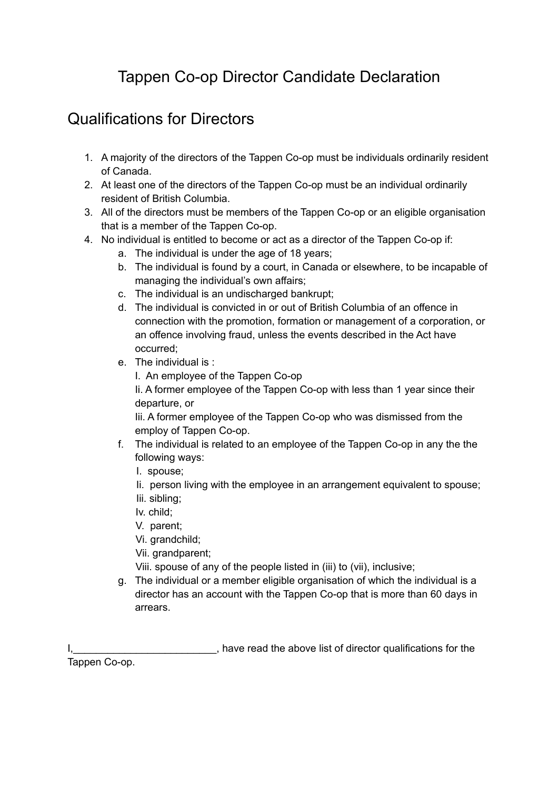## Tappen Co-op Director Candidate Declaration

## Qualifications for Directors

- 1. A majority of the directors of the Tappen Co-op must be individuals ordinarily resident of Canada.
- 2. At least one of the directors of the Tappen Co-op must be an individual ordinarily resident of British Columbia.
- 3. All of the directors must be members of the Tappen Co-op or an eligible organisation that is a member of the Tappen Co-op.
- 4. No individual is entitled to become or act as a director of the Tappen Co-op if:
	- a. The individual is under the age of 18 years;
	- b. The individual is found by a court, in Canada or elsewhere, to be incapable of managing the individual's own affairs;
	- c. The individual is an undischarged bankrupt;
	- d. The individual is convicted in or out of British Columbia of an offence in connection with the promotion, formation or management of a corporation, or an offence involving fraud, unless the events described in the Act have occurred;
	- e. The individual is :
		- I. An employee of the Tappen Co-op

Ii. A former employee of the Tappen Co-op with less than 1 year since their departure, or

Iii. A former employee of the Tappen Co-op who was dismissed from the employ of Tappen Co-op.

- f. The individual is related to an employee of the Tappen Co-op in any the the following ways:
	- I. spouse;
	- Ii. person living with the employee in an arrangement equivalent to spouse;
	- Iii. sibling;
	- Iv. child;
	- V. parent;
	- Vi. grandchild;
	- Vii. grandparent;
	- Viii. spouse of any of the people listed in (iii) to (vii), inclusive;
- g. The individual or a member eligible organisation of which the individual is a director has an account with the Tappen Co-op that is more than 60 days in arrears.

I, have read the above list of director qualifications for the

Tappen Co-op.